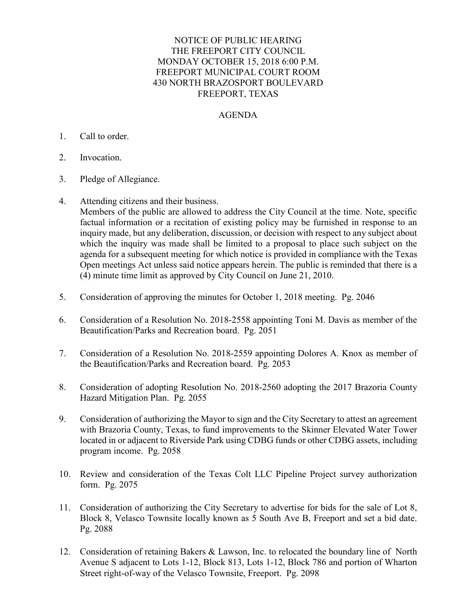## NOTICE OF PUBLIC HEARING THE FREEPORT CITY COUNCIL MONDAY OCTOBER 15, 2018 6:00 P.M. FREEPORT MUNICIPAL COURT ROOM 430 NORTH BRAZOSPORT BOULEVARD FREEPORT, TEXAS

## AGENDA

## 1. Call to order.

- 2. Invocation.
- 3. Pledge of Allegiance.
- 4. Attending citizens and their business.

Members of the public are allowed to address the City Council at the time. Note, specific factual information or a recitation of existing policy may be furnished in response to an inquiry made, but any deliberation, discussion, or decision with respect to any subject about which the inquiry was made shall be limited to a proposal to place such subject on the agenda for a subsequent meeting for which notice is provided in compliance with the Texas Open meetings Act unless said notice appears herein. The public is reminded that there is a (4) minute time limit as approved by City Council on June 21, 2010.

- 5. Consideration of approving the minutes for October 1, 2018 meeting. Pg. 2046
- 6. Consideration of a Resolution No. 2018-2558 appointing Toni M. Davis as member of the Beautification/Parks and Recreation board. Pg. 2051
- 7. Consideration of a Resolution No. 2018-2559 appointing Dolores A. Knox as member of the Beautification/Parks and Recreation board. Pg. 2053
- 8. Consideration of adopting Resolution No. 2018-2560 adopting the 2017 Brazoria County Hazard Mitigation Plan. Pg. 2055
- 9. Consideration of authorizing the Mayor to sign and the City Secretary to attest an agreement with Brazoria County, Texas, to fund improvements to the Skinner Elevated Water Tower located in or adjacent to Riverside Park using CDBG funds or other CDBG assets, including program income. Pg. 2058
- 10. Review and consideration of the Texas Colt LLC Pipeline Project survey authorization form. Pg. 2075
- 11. Consideration of authorizing the City Secretary to advertise for bids for the sale of Lot 8, Block 8, Velasco Townsite locally known as 5 South Ave B, Freeport and set a bid date. Pg. 2088
- 12. Consideration of retaining Bakers & Lawson, Inc. to relocated the boundary line of North Avenue S adjacent to Lots 1-12, Block 813, Lots 1-12, Block 786 and portion of Wharton Street right-of-way of the Velasco Townsite, Freeport. Pg. 2098